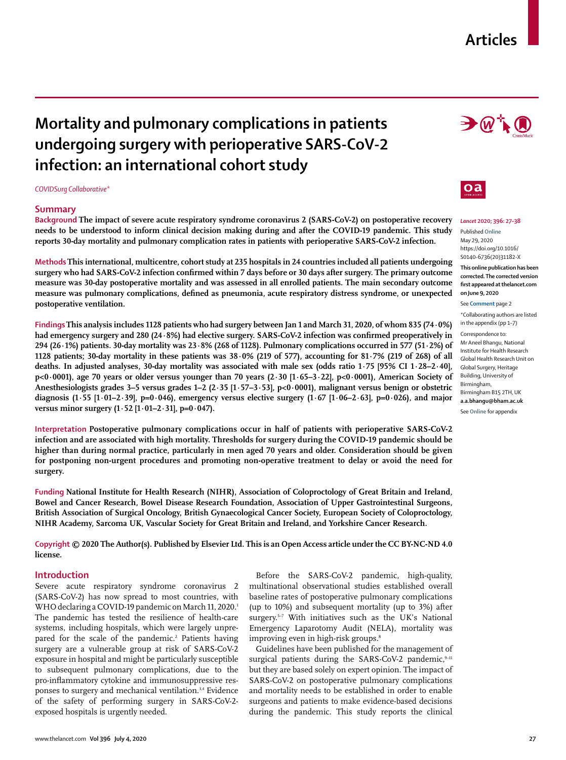## **Articles**

# **Mortality and pulmonary complications in patients undergoing surgery with perioperative SARS-CoV-2 infection: an international cohort study**

*COVIDSurg Collaborative\**

#### **Summary**

**Background The impact of severe acute respiratory syndrome coronavirus 2 (SARS-CoV-2) on postoperative recovery needs to be understood to inform clinical decision making during and after the COVID-19 pandemic. This study reports 30-day mortality and pulmonary complication rates in patients with perioperative SARS-CoV-2 infection.**

**Methods This international, multicentre, cohort study at 235 hospitals in 24 countries included all patients undergoing surgery who had SARS-CoV-2 infection confirmed within 7 days before or 30 days after surgery. The primary outcome measure was 30-day postoperative mortality and was assessed in all enrolled patients. The main secondary outcome measure was pulmonary complications, defined as pneumonia, acute respiratory distress syndrome, or unexpected postoperative ventilation.**

**Findings This analysis includes 1128 patients who had surgery between Jan 1 and March 31, 2020, of whom 835 (74·0%) had emergency surgery and 280 (24·8%) had elective surgery. SARS-CoV-2 infection was confirmed preoperatively in 294 (26·1%) patients. 30-day mortality was 23·8% (268 of 1128). Pulmonary complications occurred in 577 (51·2%) of 1128 patients; 30-day mortality in these patients was 38·0% (219 of 577), accounting for 81·7% (219 of 268) of all deaths. In adjusted analyses, 30-day mortality was associated with male sex (odds ratio 1·75 [95% CI 1·28–2·40], p<0·0001), age 70 years or older versus younger than 70 years (2·30 [1·65–3·22], p<0·0001), American Society of Anesthesiologists grades 3–5 versus grades 1–2 (2·35 [1·57–3·53], p<0·0001), malignant versus benign or obstetric diagnosis (1·55 [1·01–2·39], p=0·046), emergency versus elective surgery (1·67 [1·06–2·63], p=0·026), and major versus minor surgery (1·52 [1·01–2·31], p=0·047).**

**Interpretation Postoperative pulmonary complications occur in half of patients with perioperative SARS-CoV-2 infection and are associated with high mortality. Thresholds for surgery during the COVID-19 pandemic should be higher than during normal practice, particularly in men aged 70 years and older. Consideration should be given for postponing non-urgent procedures and promoting non-operative treatment to delay or avoid the need for surgery.**

**Funding National Institute for Health Research (NIHR), Association of Coloproctology of Great Britain and Ireland, Bowel and Cancer Research, Bowel Disease Research Foundation, Association of Upper Gastrointestinal Surgeons, British Association of Surgical Oncology, British Gynaecological Cancer Society, European Society of Coloproctology, NIHR Academy, Sarcoma UK, Vascular Society for Great Britain and Ireland, and Yorkshire Cancer Research.**

**Copyright © 2020 The Author(s). Published by Elsevier Ltd. This is an Open Access article under the CC BY-NC-ND 4.0 license.**

### **Introduction**

Severe acute respiratory syndrome coronavirus 2 (SARS-CoV-2) has now spread to most countries, with WHO declaring a COVID-19 pandemic on March 11, 2020.<sup>1</sup> The pandemic has tested the resilience of health-care systems, including hospitals, which were largely unprepared for the scale of the pandemic.<sup>2</sup> Patients having surgery are a vulnerable group at risk of SARS-CoV-2 exposure in hospital and might be particularly susceptible to subsequent pulmonary complications, due to the pro-inflammatory cytokine and immunosuppressive responses to surgery and mechanical ventilation.<sup>3,4</sup> Evidence of the safety of performing surgery in SARS-CoV-2 exposed hospitals is urgently needed.

Before the SARS-CoV-2 pandemic, high-quality, multinational observational studies established overall baseline rates of postoperative pulmonary complications (up to 10%) and subsequent mortality (up to 3%) after surgery.<sup>5-7</sup> With initiatives such as the UK's National Emergency Laparotomy Audit (NELA), mortality was improving even in high-risk groups.<sup>8</sup>

Guidelines have been published for the management of surgical patients during the SARS-CoV-2 pandemic, $9-11$ but they are based solely on expert opinion. The impact of SARS-CoV-2 on postoperative pulmonary complications and mortality needs to be established in order to enable surgeons and patients to make evidence-based decisions during the pandemic. This study reports the clinical





*Lancet* **2020; 396: 27–38** Published **Online**

May 29, 2020 https://doi.org/10.1016/ S0140-6736(20)31182-X

**This online publication has been corrected. The corrected version first appeared at thelancet.com on June 9, 2020**

See **Comment** page 2

\*Collaborating authors are listed in the appendix (pp 1–7)

Correspondence to: Mr Aneel Bhangu, National Institute for Health Research Global Health Research Unit on Global Surgery, Heritage Building, University of Birmingham, Birmingham B15 2TH, UK **a.a.bhangu@bham.ac.uk** See **Online** for appendix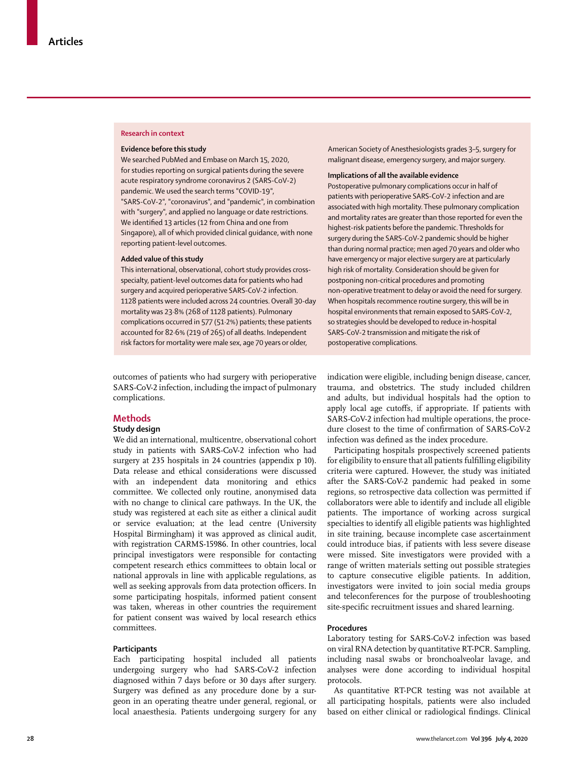#### **Research in context**

#### **Evidence before this study**

We searched PubMed and Embase on March 15, 2020, for studies reporting on surgical patients during the severe acute respiratory syndrome coronavirus 2 (SARS-CoV-2) pandemic. We used the search terms "COVID-19", "SARS-CoV-2", "coronavirus", and "pandemic", in combination with "surgery", and applied no language or date restrictions. We identified 13 articles (12 from China and one from Singapore), all of which provided clinical guidance, with none reporting patient-level outcomes.

## **Added value of this study**

This international, observational, cohort study provides crossspecialty, patient-level outcomes data for patients who had surgery and acquired perioperative SARS-CoV-2 infection. 1128 patients were included across 24 countries. Overall 30-day mortality was 23·8% (268 of 1128 patients). Pulmonary complications occurred in 577 (51·2%) patients; these patients accounted for 82·6% (219 of 265) of all deaths. Independent risk factors for mortality were male sex, age 70 years or older,

outcomes of patients who had surgery with perioperative SARS-CoV-2 infection, including the impact of pulmonary complications.

## **Methods**

## **Study design**

We did an international, multicentre, observational cohort study in patients with SARS-CoV-2 infection who had surgery at 235 hospitals in 24 countries (appendix p 10). Data release and ethical considerations were discussed with an independent data monitoring and ethics committee. We collected only routine, anonymised data with no change to clinical care pathways. In the UK, the study was registered at each site as either a clinical audit or service evaluation; at the lead centre (University Hospital Birmingham) it was approved as clinical audit, with registration CARMS-15986. In other countries, local principal investigators were responsible for contacting competent research ethics committees to obtain local or national approvals in line with applicable regulations, as well as seeking approvals from data protection officers. In some participating hospitals, informed patient consent was taken, whereas in other countries the requirement for patient consent was waived by local research ethics committees.

#### **Participants**

Each participating hospital included all patients undergoing surgery who had SARS-CoV-2 infection diagnosed within 7 days before or 30 days after surgery. Surgery was defined as any procedure done by a surgeon in an operating theatre under general, regional, or local anaesthesia. Patients undergoing surgery for any American Society of Anesthesiologists grades 3–5, surgery for malignant disease, emergency surgery, and major surgery.

### **Implications of all the available evidence**

Postoperative pulmonary complications occur in half of patients with perioperative SARS-CoV-2 infection and are associated with high mortality. These pulmonary complication and mortality rates are greater than those reported for even the highest-risk patients before the pandemic. Thresholds for surgery during the SARS-CoV-2 pandemic should be higher than during normal practice; men aged 70 years and older who have emergency or major elective surgery are at particularly high risk of mortality. Consideration should be given for postponing non-critical procedures and promoting non-operative treatment to delay or avoid the need for surgery. When hospitals recommence routine surgery, this will be in hospital environments that remain exposed to SARS-CoV-2, so strategies should be developed to reduce in-hospital SARS-CoV-2 transmission and mitigate the risk of postoperative complications.

indication were eligible, including benign disease, cancer, trauma, and obstetrics. The study included children and adults, but individual hospitals had the option to apply local age cutoffs, if appropriate. If patients with SARS-CoV-2 infection had multiple operations, the procedure closest to the time of confirmation of SARS-CoV-2 infection was defined as the index procedure.

Participating hospitals prospectively screened patients for eligibility to ensure that all patients fulfilling eligibility criteria were captured. However, the study was initiated after the SARS-CoV-2 pandemic had peaked in some regions, so retrospective data collection was permitted if collaborators were able to identify and include all eligible patients. The importance of working across surgical specialties to identify all eligible patients was highlighted in site training, because incomplete case ascertainment could introduce bias, if patients with less severe disease were missed. Site investigators were provided with a range of written materials setting out possible strategies to capture consecutive eligible patients. In addition, investigators were invited to join social media groups and teleconferences for the purpose of troubleshooting site-specific recruitment issues and shared learning.

## **Procedures**

Laboratory testing for SARS-CoV-2 infection was based on viral RNA detection by quantitative RT-PCR. Sampling, including nasal swabs or bronchoalveolar lavage, and analyses were done according to individual hospital protocols.

As quantitative RT-PCR testing was not available at all participating hospitals, patients were also included based on either clinical or radiological findings. Clinical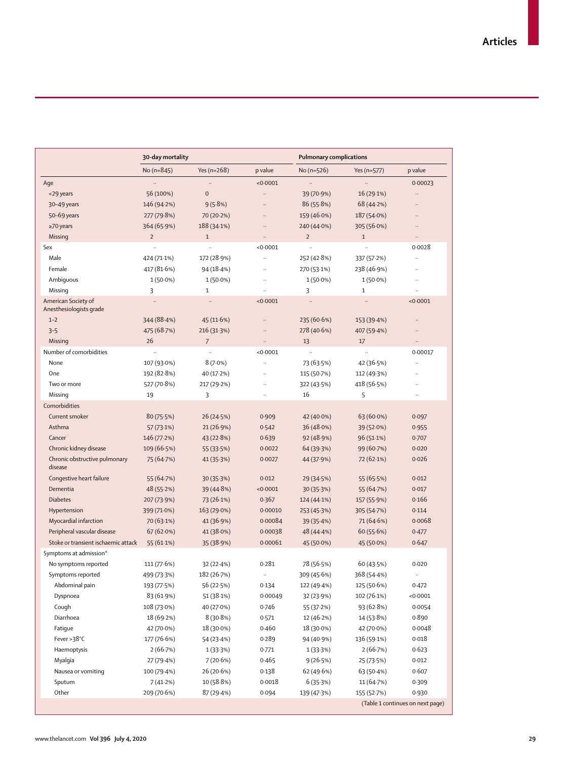|                                          | 30-day mortality     |                |                      | <b>Pulmonary complications</b> |              |                                  |  |
|------------------------------------------|----------------------|----------------|----------------------|--------------------------------|--------------|----------------------------------|--|
|                                          | No $(n=845)$         | Yes $(n=268)$  | p value              | No $(n=526)$                   | Yes (n=577)  | p value                          |  |
| Age                                      | $\ddotsc$            | $\ddotsc$      | < 0.0001             | $\ddotsc$                      |              | 0.00023                          |  |
| <29 years                                | 56 (100%)            | $\mathbf{0}$   |                      | 39 (70.9%)                     | 16 (29.1%)   |                                  |  |
| 30-49 years                              | 146 (94.2%)          | 9(5.8%)        |                      | 86(55.8%)                      | 68 (44.2%)   |                                  |  |
| 50-69 years                              | 277 (79.8%)          | 70 (20.2%)     |                      | 159 (46.0%)                    | 187 (54.0%)  |                                  |  |
| $\geq$ 70 years                          | 364 (65.9%)          | 188 (34.1%)    |                      | 240 (44.0%)                    | 305 (56.0%)  | $\ddot{\phantom{a}}$             |  |
| Missing                                  | $\overline{2}$       | $\mathbf{1}$   |                      | $\overline{2}$                 | $\mathbf{1}$ | $\ddotsc$                        |  |
| Sex                                      | $\ddot{\phantom{a}}$ | $\ldots$       | < 0.0001             | $\ldots$                       | ä,           | 0.0028                           |  |
| Male                                     | 424 (71.1%)          | 172 (28.9%)    |                      | 252 (42.8%)                    | 337 (57.2%)  |                                  |  |
| Female                                   | 417 (81.6%)          | 94(18.4%)      | $\ddot{\phantom{0}}$ | 270 (53.1%)                    | 238 (46.9%)  | $\ddotsc$                        |  |
| Ambiguous                                | $1(50.0\%)$          | $1(50.0\%)$    | $\ddotsc$            | $1(50.0\%)$                    | $1(50.0\%)$  |                                  |  |
| Missing                                  | 3                    | $\mathbf{1}$   |                      | 3                              | $\mathbf{1}$ | $\ddotsc$                        |  |
| American Society of                      | $\ldots$             | $\ldots$       | < 0.0001             | $\ldots$                       |              | < 0.0001                         |  |
| Anesthesiologists grade                  |                      |                |                      |                                |              |                                  |  |
| $1 - 2$                                  | 344 (88.4%)          | 45 (11.6%)     |                      | 235 (60.6%)                    | 153 (39.4%)  |                                  |  |
| $3 - 5$                                  | 475 (68.7%)          | 216 (31.3%)    |                      | 278 (40.6%)                    | 407 (59.4%)  |                                  |  |
| Missing                                  | 26                   | $\overline{7}$ | $\ldots$             | 13                             | 17           | $\ddotsc$                        |  |
| Number of comorbidities                  |                      | $\ldots$       | < 0.0001             | $\ddotsc$                      |              | 0.00017                          |  |
| None                                     | 107 (93.0%)          | $8(7.0\%)$     | $\ddot{\phantom{a}}$ | 73 (63.5%)                     | 42 (36.5%)   | $\ddotsc$                        |  |
| One                                      | 192 (82.8%)          | 40 (17.2%)     | .,                   | 115 (50.7%)                    | 112 (49.3%)  |                                  |  |
| Two or more                              | 527 (70.8%)          | 217 (29.2%)    | $\ddot{\phantom{a}}$ | 322 (43.5%)                    | 418 (56.5%)  |                                  |  |
| Missing                                  | 19                   | 3              |                      | 16                             | 5            |                                  |  |
| Comorbidities                            |                      |                |                      |                                |              |                                  |  |
| Current smoker                           | 80(75.5%)            | 26 (24.5%)     | 0.909                | 42 (40.0%)                     | 63 (60.0%)   | 0.097                            |  |
| Asthma                                   | 57 (73.1%)           | 21 (26.9%)     | 0.542                | 36 (48.0%)                     | 39 (52.0%)   | 0.955                            |  |
| Cancer                                   | 146 (77.2%)          | 43 (22.8%)     | 0.639                | 92 (48.9%)                     | 96 (51.1%)   | 0.707                            |  |
| Chronic kidney disease                   | 109 (66.5%)          | 55 (33.5%)     | 0.0022               | 64 (39.3%)                     | 99 (60.7%)   | 0.020                            |  |
| Chronic obstructive pulmonary<br>disease | 75 (64.7%)           | 41 (35.3%)     | 0.0027               | 44 (37.9%)                     | 72 (62.1%)   | 0.026                            |  |
| Congestive heart failure                 | 55 (64.7%)           | 30 (35.3%)     | 0.012                | 29 (34.5%)                     | 55(65.5%)    | 0.012                            |  |
| Dementia                                 | 48 (55.2%)           | 39 (44.8%)     | < 0.0001             | 30(35.3%)                      | 55 (64.7%)   | 0.017                            |  |
| <b>Diabetes</b>                          | 207 (73.9%)          | 73 (26.1%)     | 0.367                | 124 (44.1%)                    | 157 (55.9%)  | 0.166                            |  |
| Hypertension                             | 399 (71.0%)          | 163(29.0%)     | 0.00010              | 253 (45.3%)                    | 305 (54.7%)  | 0.114                            |  |
| Myocardial infarction                    | $70(63.1\%)$         | 41 (36.9%)     | 0.00084              | 39 (35.4%)                     | 71 (64.6%)   | 0.0068                           |  |
| Peripheral vascular disease              | 67(62.0%)            | 41 (38.0%)     | 0.00038              | 48 (44.4%)                     | 60(55.6%)    | 0.477                            |  |
| Stoke or transient ischaemic attack      | 55 $(61.1\%)$        | 35 (38.9%)     | 0.00061              | 45 (50.0%)                     | 45 (50.0%)   | 0.647                            |  |
| Symptoms at admission*                   |                      |                |                      |                                |              |                                  |  |
| No symptoms reported                     | 111 (77.6%)          | 32 (22.4%)     | 0.281                | 78 (56.5%)                     | 60 (43.5%)   | 0.020                            |  |
| Symptoms reported                        | 499 (73.3%)          | 182 (26.7%)    |                      | 309 (45.6%)                    | 368 (54.4%)  | $\cdot\cdot$                     |  |
| Abdominal pain                           | 193 (77.5%)          | 56 (22.5%)     | 0.134                | 122 (49.4%)                    | 125 (50.6%)  | 0.472                            |  |
| Dyspnoea                                 | 83 (61.9%)           | 51 (38.1%)     | 0.00049              | 32 (23.9%)                     | 102 (76.1%)  | <0.0001                          |  |
| Cough                                    | 108 (73.0%)          | 40 (27.0%)     | 0.746                | 55 (37.2%)                     | 93 (62.8%)   | 0.0054                           |  |
| Diarrhoea                                | 18 (69.2%)           | 8(30.8%)       | 0.571                | 12 (46.2%)                     | 14(53.8%)    | 0.890                            |  |
| Fatigue                                  | 42 (70.0%)           | 18 (30.0%)     | 0.460                | 18 (30.0%)                     | 42 (70.0%)   | 0.0048                           |  |
| Fever $>38^{\circ}$ C                    | 177 (76.6%)          | 54 (23-4%)     | 0.289                | 94 (40.9%)                     | 136 (59.1%)  | 0.018                            |  |
| Haemoptysis                              | 2(66.7%)             | 1(33.3%)       | 0.771                | 1(33.3%)                       | 2(66.7%)     | 0.623                            |  |
| Myalgia                                  | 27 (79.4%)           | 7(20.6%)       | 0.465                | 9(26.5%)                       | 25 (73.5%)   | 0.012                            |  |
| Nausea or vomiting                       | 100 (79.4%)          | 26 (20.6%)     | 0.138                | 62 (49.6%)                     | 63 (50.4%)   | 0.607                            |  |
| Sputum                                   | 7(41.2%)             | 10 (58.8%)     | 0.0018               | 6(35.3%)                       | 11 (64.7%)   | 0.309                            |  |
| Other                                    | 209 (70.6%)          | 87 (29.4%)     | 0.094                | 139 (47.3%)                    | 155 (52.7%)  | 0.930                            |  |
|                                          |                      |                |                      |                                |              | (Table 1 continues on next page) |  |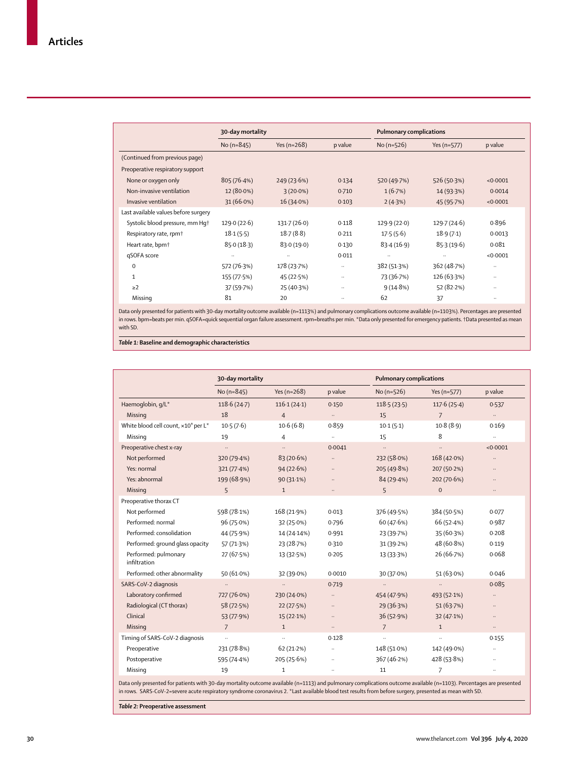|                                      | 30-day mortality |               |          | <b>Pulmonary complications</b> |             |              |
|--------------------------------------|------------------|---------------|----------|--------------------------------|-------------|--------------|
|                                      | No $(n=845)$     | Yes $(n=268)$ | p value  | No $(n=526)$                   | Yes (n=577) | p value      |
| (Continued from previous page)       |                  |               |          |                                |             |              |
| Preoperative respiratory support     |                  |               |          |                                |             |              |
| None or oxygen only                  | 805(76.4%)       | 249(23.6%)    | 0.134    | 520 (49.7%)                    | 526 (50.3%) | < 0.0001     |
| Non-invasive ventilation             | 12 (80.0%)       | $3(20.0\%)$   | 0.710    | 1(6.7%)                        | 14 (93.3%)  | 0.0014       |
| Invasive ventilation                 | $31(66.0\%)$     | 16(34.0%)     | 0.103    | 2(4.3%)                        | 45 (95.7%)  | < 0.0001     |
| Last available values before surgery |                  |               |          |                                |             |              |
| Systolic blood pressure, mm Hq+      | 129.0(22.6)      | 131.7(26.0)   | 0.118    | 129.9(22.0)                    | 129.7(24.6) | 0.896        |
| Respiratory rate, rpm <sup>+</sup>   | 18.1(5.5)        | 18.7(8.8)     | 0.211    | 17.5(5.6)                      | 18.9(7.1)   | 0.0013       |
| Heart rate, bpm <sup>+</sup>         | 85.0(18.3)       | 83.0(19.0)    | 0.130    | 83.4(16.9)                     | 85.3(19.6)  | 0.081        |
| qSOFA score                          | $\cdots$         | $\ddotsc$     | 0.011    | $\cdots$                       | $\ddotsc$   | < 0.0001     |
| $\mathbf 0$                          | 572 (76.3%)      | 178 (23.7%)   | $\cdots$ | 382 (51.3%)                    | 362 (48.7%) | $\cdot\cdot$ |
| $\mathbf{1}$                         | 155 (77.5%)      | 45 (22.5%)    | $\cdots$ | 73 (36.7%)                     | 126 (63.3%) | $\cdots$     |
| $\geq$ 2                             | 37 (59.7%)       | 25 (40.3%)    |          | 9(14.8%)                       | 52 (82.2%)  |              |
| Missing                              | 81               | 20            |          | 62                             | 37          | $\cdots$     |

Data only presented for patients with 30-day mortality outcome available (n=1113%) and pulmonary complications outcome available (n=1103%). Percentages are presented in rows. bpm=beats per min. qSOFA=quick sequential organ failure assessment. rpm=breaths per min. \*Data only presented for emergency patients. †Data presented as mean with SD.

*Table 1:* **Baseline and demographic characteristics**

|                                                             | 30-day mortality     |                |                      | <b>Pulmonary complications</b> |                |           |
|-------------------------------------------------------------|----------------------|----------------|----------------------|--------------------------------|----------------|-----------|
|                                                             | No (n=845)           | Yes $(n=268)$  | p value              | No $(n=526)$                   | Yes (n=577)    | p value   |
| Haemoglobin, g/L*                                           | 118.6(24.7)          | 116.1(24.1)    | 0.150                | 118.5(23.5)                    | 117.6(25.4)    | 0.537     |
| Missing                                                     | 18                   | $\overline{4}$ | $\ldots$             | 15                             | $\overline{7}$ | $\ddotsc$ |
| White blood cell count, x10 <sup>9</sup> per L <sup>*</sup> | 10.5(7.6)            | 10.6(6.8)      | 0.859                | 10.1(5.1)                      | 10.8(8.9)      | 0.169     |
| Missing                                                     | 19                   | $\overline{4}$ | $\ddot{\phantom{a}}$ | 15                             | 8              | Ш,        |
| Preoperative chest x-ray                                    | $\ddot{\phantom{a}}$ | $\ldots$       | 0.0041               | $\ldots$                       | $\ldots$       | < 0.0001  |
| Not performed                                               | 320 (79.4%)          | 83 (20.6%)     | $\ldots$             | 232 (58.0%)                    | 168 (42.0%)    | $\ddotsc$ |
| Yes: normal                                                 | 321 (77.4%)          | 94(22.6%)      | $\ddots$             | 205 (49.8%)                    | 207 (50.2%)    | $\ldots$  |
| Yes: abnormal                                               | 199 (68.9%)          | $90(31.1\%)$   | $\ldots$             | 84(29.4%)                      | 202 (70.6%)    | $\ddots$  |
| Missing                                                     | 5                    | $\mathbf{1}$   | $\ddots$             | 5                              | $\mathbf{0}$   | $\ddots$  |
| Preoperative thorax CT                                      |                      |                |                      |                                |                |           |
| Not performed                                               | 598 (78.1%)          | 168 (21.9%)    | 0.013                | 376 (49.5%)                    | 384 (50.5%)    | 0.077     |
| Performed: normal                                           | 96(75.0%)            | 32(25.0%)      | 0.796                | 60 (47.6%)                     | 66(52.4%)      | 0.987     |
| Performed: consolidation                                    | 44 (75.9%)           | 14 (24.14%)    | 0.991                | 23 (39.7%)                     | 35 (60.3%)     | 0.208     |
| Performed: ground glass opacity                             | 57 (71.3%)           | 23 (28.7%)     | 0.310                | 31(39.2%)                      | 48 (60.8%)     | 0.119     |
| Performed: pulmonary<br>infiltration                        | 27 (67.5%)           | 13 (32.5%)     | 0.205                | 13 (33.3%)                     | 26 (66-7%)     | 0.068     |
| Performed: other abnormality                                | $50(61.0\%)$         | 32 (39.0%)     | 0.0010               | 30 (37.0%)                     | $51(63.0\%)$   | 0.046     |
| SARS-CoV-2 diagnosis                                        |                      | $\ldots$       | 0.719                | $\ddotsc$                      | $\ldots$       | 0.085     |
| Laboratory confirmed                                        | 727 (76.0%)          | 230 (24.0%)    | $\ldots$             | 454 (47.9%)                    | 493 (52.1%)    | $\ddotsc$ |
| Radiological (CT thorax)                                    | 58 (72.5%)           | 22(27.5%)      | $\ldots$             | 29 (36.3%)                     | 51(63.7%)      | $\ddotsc$ |
| Clinical                                                    | 53 (77.9%)           | 15(22.1%)      | $\ddotsc$            | 36 (52.9%)                     | 32(47.1%)      | $\ldots$  |
| Missing                                                     | $\overline{7}$       | $\mathbf{1}$   | $\ldots$             | $\overline{7}$                 | $\mathbf{1}$   | $\cdots$  |
| Timing of SARS-CoV-2 diagnosis                              | $\ldots$             | $\ldots$       | 0.128                | н.                             | $\ldots$       | 0.155     |
| Preoperative                                                | 231 (78.8%)          | 62(21.2%)      | $\ldots$             | 148 (51.0%)                    | 142 (49.0%)    | $\ldots$  |
| Postoperative                                               | 595 (74.4%)          | 205(25.6%)     | $\ldots$             | 367 (46.2%)                    | 428 (53.8%)    |           |
| Missing                                                     | 19                   | $\mathbf{1}$   | $\ldots$             | 11                             | $\overline{7}$ |           |

Data only presented for patients with 30-day mortality outcome available (n=1113) and pulmonary complications outcome available (n=1103). Percentages are presented in rows. SARS-CoV-2=severe acute respiratory syndrome coronavirus 2. \*Last available blood test results from before surgery, presented as mean with SD.

*Table 2:* **Preoperative assessment**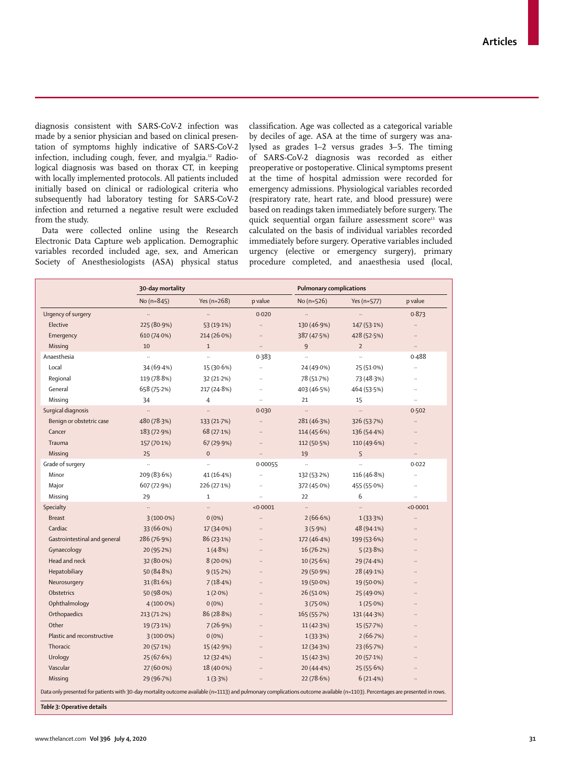diagnosis consistent with SARS-CoV-2 infection was made by a senior physician and based on clinical presentation of symptoms highly indicative of SARS-CoV-2 infection, including cough, fever, and myalgia.<sup>12</sup> Radiological diagnosis was based on thorax CT, in keeping with locally implemented protocols. All patients included initially based on clinical or radiological criteria who subsequently had laboratory testing for SARS-CoV-2 infection and returned a negative result were excluded from the study.

Data were collected online using the Research Electronic Data Capture web application. Demographic variables recorded included age, sex, and American Society of Anesthesiologists (ASA) physical status classification. Age was collected as a categorical variable by deciles of age. ASA at the time of surgery was analysed as grades 1–2 versus grades 3–5. The timing of SARS-CoV-2 diagnosis was recorded as either preoperative or postoperative. Clinical symptoms present at the time of hospital admission were recorded for emergency admissions. Physiological variables recorded (respiratory rate, heart rate, and blood pressure) were based on readings taken immediately before surgery. The quick sequential organ failure assessment score<sup>13</sup> was calculated on the basis of individual variables recorded immediately before surgery. Operative variables included urgency (elective or emergency surgery), primary procedure completed, and anaesthesia used (local,

|                              | 30-day mortality |                      |                      | <b>Pulmonary complications</b> |                      |                      |  |
|------------------------------|------------------|----------------------|----------------------|--------------------------------|----------------------|----------------------|--|
|                              | No $(n=845)$     | Yes $(n=268)$        | p value              | No $(n=526)$                   | Yes (n=577)          | p value              |  |
| Urgency of surgery           | .,               |                      | 0.020                | $\ddotsc$                      | $\ddot{\phantom{a}}$ | 0.873                |  |
| Elective                     | 225 (80.9%)      | 53 (19.1%)           | $\ddotsc$            | 130 (46.9%)                    | 147 (53.1%)          | $\ddotsc$            |  |
| Emergency                    | 610 (74.0%)      | 214 (26.0%)          | $\ddotsc$            | 387 (47.5%)                    | 428 (52.5%)          | $\ddotsc$            |  |
| Missing                      | 10               | $\mathbf{1}$         | $\ldots$             | 9                              | $\overline{2}$       | $\ldots$             |  |
| Anaesthesia                  |                  |                      | 0.383                |                                |                      | 0.488                |  |
| Local                        | 34 (69.4%)       | 15 (30.6%)           | $\ddot{\phantom{a}}$ | 24 (49.0%)                     | 25 (51.0%)           | $\ddotsc$            |  |
| Regional                     | 119 (78.8%)      | 32 (21.2%)           | $\ddot{\phantom{a}}$ | 78 (51.7%)                     | 73 (48.3%)           | $\ddotsc$            |  |
| General                      | 658 (75.2%)      | 217 (24.8%)          | $\ddotsc$            | 403 (46.5%)                    | 464 (53.5%)          | $\ldots$             |  |
| Missing                      | 34               | $\overline{4}$       |                      | 21                             | 15                   | $\ddot{\phantom{a}}$ |  |
| Surgical diagnosis           | $\ldots$         | $\ldots$             | 0.030                | $\ddotsc$                      | $\ldots$             | 0.502                |  |
| Benign or obstetric case     | 480 (78.3%)      | 133 (21.7%)          | $\ldots$             | 281 (46.3%)                    | 326 (53.7%)          | $\ddotsc$            |  |
| Cancer                       | 183 (72.9%)      | 68 (27.1%)           |                      | 114 (45.6%)                    | 136 (54.4%)          | $\ldots$             |  |
| Trauma                       | 157 (70.1%)      | 67 (29.9%)           | $\ddotsc$            | 112 (50.5%)                    | 110 (49.6%)          |                      |  |
| Missing                      | 25               | $\mathbf 0$          | $\ddot{\phantom{a}}$ | 19                             | 5                    | $\ddotsc$            |  |
| Grade of surgery             | t.               | $\ddot{\phantom{0}}$ | 0.00055              | $\ddotsc$                      | $\ddot{\phantom{a}}$ | 0.022                |  |
| Minor                        | 209 (83.6%)      | 41 (16.4%)           | $\ddotsc$            | 132 (53.2%)                    | 116 (46.8%)          |                      |  |
| Major                        | 607 (72.9%)      | 226 (27.1%)          | $\ddotsc$            | 372 (45.0%)                    | 455 (55.0%)          | $\ddotsc$            |  |
| Missing                      | 29               | $\mathbf 1$          | $\ddot{\phantom{a}}$ | 22                             | 6                    | $\ldots$             |  |
| Specialty                    | $\ddotsc$        | .,                   | < 0.0001             | $\ddotsc$                      | $\ddotsc$            | < 0.0001             |  |
| <b>Breast</b>                | $3(100.0\%)$     | $0(0\%)$             |                      | 2(66.6%)                       | 1(33.3%)             |                      |  |
| Cardiac                      | 33 (66.0%)       | 17 (34.0%)           | $\ddot{\phantom{a}}$ | 3(5.9%)                        | 48 (94.1%)           |                      |  |
| Gastrointestinal and general | 286 (76.9%)      | 86 (23.1%)           |                      | 172 (46.4%)                    | 199 (53.6%)          |                      |  |
| Gynaecology                  | 20 (95.2%)       | 1(4.8%)              | $\ddot{\phantom{a}}$ | 16(76.2%)                      | 5(23.8%)             |                      |  |
| Head and neck                | 32 (80.0%)       | $8(20.0\%)$          | $\ddotsc$            | 10(25.6%)                      | 29 (74.4%)           |                      |  |
| Hepatobiliary                | 50 (84.8%)       | 9(15.2%)             |                      | 29 (50.9%)                     | 28 (49.1%)           |                      |  |
| Neurosurgery                 | 31 (81.6%)       | 7(18.4%)             |                      | 19 (50.0%)                     | 19 (50.0%)           |                      |  |
| Obstetrics                   | 50 (98.0%)       | $1(2.0\%)$           |                      | 26 (51.0%)                     | 25 (49.0%)           |                      |  |
| Ophthalmology                | $4(100.0\%)$     | $0(0\%)$             |                      | 3(75.0%)                       | 1(25.0%)             |                      |  |
| Orthopaedics                 | 213 (71.2%)      | 86 (28.8%)           |                      | 165 (55.7%)                    | 131 (44.3%)          |                      |  |
| Other                        | 19 (73.1%)       | 7(26.9%)             | $\ddot{\phantom{a}}$ | 11(42.3%)                      | 15 (57.7%)           |                      |  |
| Plastic and reconstructive   | $3(100.0\%)$     | $0(0\%)$             | $\ddot{\phantom{a}}$ | 1(33.3%)                       | 2(66.7%)             |                      |  |
| Thoracic                     | 20(57.1%)        | 15 (42.9%)           |                      | 12 (34.3%)                     | 23 (65.7%)           |                      |  |
| Urology                      | 25 (67.6%)       | 12(32.4%)            |                      | 15 (42.3%)                     | 20 (57.1%)           |                      |  |
| Vascular                     | 27 (60.0%)       | 18 (40.0%)           |                      | 20 (44.4%)                     | 25 (55.6%)           |                      |  |
| Missing                      | 29 (96.7%)       | 1(3.3%)              |                      | 22(78.6%)                      | 6(21.4%)             |                      |  |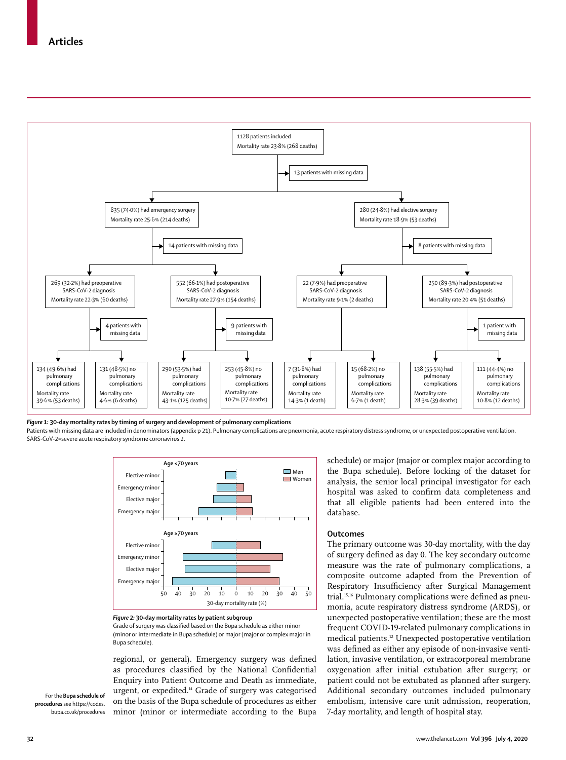

*Figure 1:* **30-day mortality rates by timing of surgery and development of pulmonary complications**

Patients with missing data are included in denominators (appendix p 21). Pulmonary complications are pneumonia, acute respiratory distress syndrome, or unexpected postoperative ventilation. SARS-CoV-2=severe acute respiratory syndrome coronavirus 2.



*Figure 2:* **30-day mortality rates by patient subgroup**

Grade of surgery was classified based on the Bupa schedule as either minor (minor or intermediate in Bupa schedule) or major (major or complex major in Bupa schedule).

regional, or general). Emergency surgery was defined as procedures classified by the National Confidential Enquiry into Patient Outcome and Death as immediate, urgent, or expedited.14 Grade of surgery was categorised on the basis of the [Bupa schedule of procedures](https://codes.bupa.co.uk/procedures) as either minor (minor or intermediate according to the Bupa

schedule) or major (major or complex major according to the Bupa schedule). Before locking of the dataset for analysis, the senior local principal investigator for each hospital was asked to confirm data completeness and that all eligible patients had been entered into the database.

#### **Outcomes**

The primary outcome was 30-day mortality, with the day of surgery defined as day 0. The key secondary outcome measure was the rate of pulmonary complications, a composite outcome adapted from the Prevention of Respiratory Insufficiency after Surgical Management trial.15,16 Pulmonary complications were defined as pneumonia, acute respiratory distress syndrome (ARDS), or unexpected postoperative ventilation; these are the most frequent COVID-19-related pulmonary complications in medical patients.12 Unexpected postoperative ventilation was defined as either any episode of non-invasive ventilation, invasive ventilation, or extracorporeal membrane oxygenation after initial extubation after surgery; or patient could not be extubated as planned after surgery. Additional secondary outcomes included pulmonary embolism, intensive care unit admission, reoperation, 7-day mortality, and length of hospital stay.

For the **Bupa schedule of procedures** see [https://codes.](https://codes.bupa.co.uk/procedures) [bupa.co.uk/procedures](https://codes.bupa.co.uk/procedures)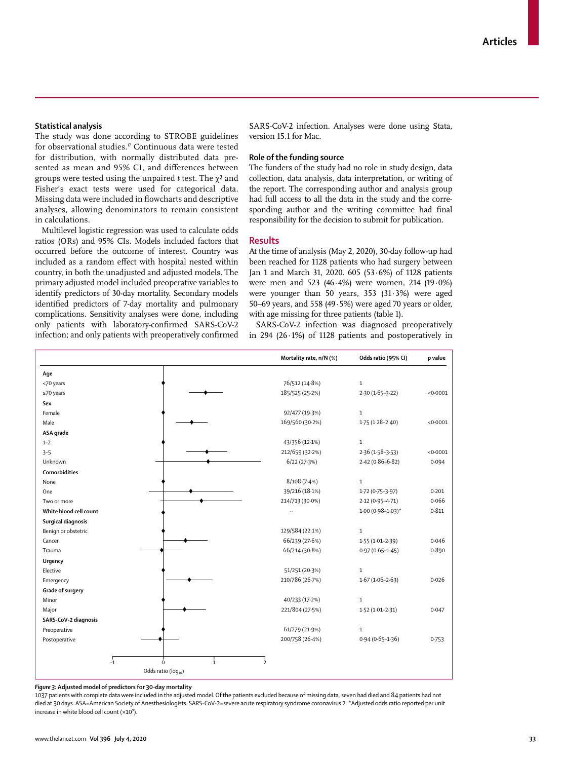#### **Statistical analysis**

The study was done according to STROBE guidelines for observational studies.<sup>17</sup> Continuous data were tested for distribution, with normally distributed data presented as mean and 95% CI, and differences between groups were tested using the unpaired *t* test. The χ² and Fisher's exact tests were used for categorical data. Missing data were included in flowcharts and descriptive analyses, allowing denominators to remain consistent in calculations.

Multilevel logistic regression was used to calculate odds ratios (ORs) and 95% CIs. Models included factors that occurred before the outcome of interest. Country was included as a random effect with hospital nested within country, in both the unadjusted and adjusted models. The primary adjusted model included preoperative variables to identify predictors of 30-day mortality. Secondary models identified predictors of 7-day mortality and pulmonary complications. Sensitivity analyses were done, including only patients with laboratory-confirmed SARS-CoV-2 infection; and only patients with preoperatively confirmed SARS-CoV-2 infection. Analyses were done using Stata, version 15.1 for Mac.

## **Role of the funding source**

The funders of the study had no role in study design, data collection, data analysis, data interpretation, or writing of the report. The corresponding author and analysis group had full access to all the data in the study and the corresponding author and the writing committee had final responsibility for the decision to submit for publication.

### **Results**

At the time of analysis (May 2, 2020), 30-day follow-up had been reached for 1128 patients who had surgery between Jan 1 and March 31, 2020. 605 (53·6%) of 1128 patients were men and 523 (46·4%) were women, 214 (19·0%) were younger than 50 years,  $353$  ( $31.3\%$ ) were aged 50–69 years, and 558 (49·5%) were aged 70 years or older, with age missing for three patients (table 1).

SARS-CoV-2 infection was diagnosed preoperatively in 294 (26·1%) of 1128 patients and postoperatively in

|                        |                                | Mortality rate, n/N (%)  | Odds ratio (95% CI)     | p value |
|------------------------|--------------------------------|--------------------------|-------------------------|---------|
| Age                    |                                |                          |                         |         |
| <70 years              |                                | 76/512 (14.8%)           | $\mathbf{1}$            |         |
| $\geq$ 70 years        |                                | 185/525 (25.2%)          | $2.30(1.65 - 3.22)$     | <0.0001 |
| Sex                    |                                |                          |                         |         |
| Female                 |                                | 92/477 (19-3%)           | $\mathbf{1}$            |         |
| Male                   |                                | 169/560 (30.2%)          | $1.75(1.28 - 2.40)$     | <0.0001 |
| ASA grade              |                                |                          |                         |         |
| $1 - 2$                |                                | 43/356 (12.1%)           | $\mathbf{1}$            |         |
| $3 - 5$                |                                | 212/659 (32.2%)          | $2.36(1.58-3.53)$       | <0.0001 |
| Unknown                |                                | 6/22(27.3%)              | $2.42(0.86 - 6.82)$     | 0.094   |
| <b>Comorbidities</b>   |                                |                          |                         |         |
| None                   |                                | 8/108(7.4%)              | $\mathbf 1$             |         |
| One                    |                                | 39/216 (18.1%)           | 1.72 (0.75-3.97)        | 0.201   |
| Two or more            |                                | 214/713 (30.0%)          | $2.12(0.95 - 4.71)$     | 0.066   |
| White blood cell count |                                |                          | $1.00(0.98 - 1.03)^{*}$ | 0.811   |
| Surgical diagnosis     |                                |                          |                         |         |
| Benign or obstetric    |                                | 129/584 (22-1%)          | $\mathbf{1}$            |         |
| Cancer                 |                                | 66/239 (27.6%)           | $1.55(1.01-2.39)$       | 0.046   |
| Trauma                 |                                | 66/214 (30.8%)           | $0.97(0.65 - 1.45)$     | 0.890   |
| Urgency                |                                |                          |                         |         |
| Elective               |                                | 51/251 (20.3%)           | $\mathbf 1$             |         |
| Emergency              |                                | 210/786 (26.7%)          | $1.67(1.06 - 2.63)$     | 0.026   |
| Grade of surgery       |                                |                          |                         |         |
| Minor                  |                                | 40/233 (17.2%)           | $\mathbf 1$             |         |
| Major                  |                                | 221/804 (27.5%)          | $1.52(1.01 - 2.31)$     | 0.047   |
| SARS-CoV-2 diagnosis   |                                |                          |                         |         |
| Preoperative           |                                | 61/279 (21.9%)           | $\mathbf{1}$            |         |
| Postoperative          |                                | 200/758 (26-4%)          | $0.94(0.65 - 1.36)$     | 0.753   |
|                        |                                |                          |                         |         |
| $-1$                   | $\dot{\Omega}$<br>$\mathbf{1}$ | $\overline{\phantom{a}}$ |                         |         |
|                        | Odds ratio (log10)             |                          |                         |         |

#### *Figure 3:* **Adjusted model of predictors for 30-day mortality**

1037 patients with complete data were included in the adjusted model. Of the patients excluded because of missing data, seven had died and 84 patients had not died at 30 days. ASA=American Society of Anesthesiologists. SARS-CoV-2=severe acute respiratory syndrome coronavirus 2. \*Adjusted odds ratio reported per unit increase in white blood cell count  $(x10^{\circ})$ .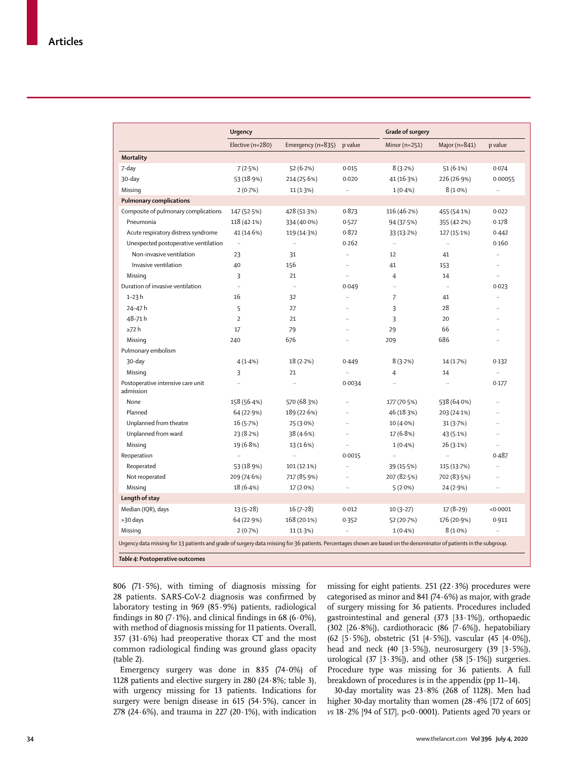|                                                | <b>Urgency</b>       |                               |                      | Grade of surgery     |                      |                      |
|------------------------------------------------|----------------------|-------------------------------|----------------------|----------------------|----------------------|----------------------|
|                                                | Elective (n=280)     | Emergency ( $n=835$ ) p value |                      | Minor $(n=251)$      | Major ( $n=841$ )    | p value              |
| Mortality                                      |                      |                               |                      |                      |                      |                      |
| 7-day                                          | 7(2.5%)              | 52 $(6.2%)$                   | 0.015                | 8(3.2%)              | 51(6.1%)             | 0.074                |
| 30-day                                         | 53 (18.9%)           | 214 (25.6%)                   | 0.020                | 41 (16.3%)           | 226 (26.9%)          | 0.00055              |
| Missing                                        | 2(0.7%)              | 11 (1.3%)                     | $\ddot{\phantom{a}}$ | $1(0.4\%)$           | $8(1.0\%)$           | $\ddotsc$            |
| <b>Pulmonary complications</b>                 |                      |                               |                      |                      |                      |                      |
| Composite of pulmonary complications           | 147 (52.5%)          | 428 (51.3%)                   | 0.873                | 116 (46.2%)          | 455 (54.1%)          | 0.022                |
| Pneumonia                                      | $118(42.1\%)$        | 334 (40.0%)                   | 0.527                | 94 (37.5%)           | 355 (42.2%)          | 0.178                |
| Acute respiratory distress syndrome            | 41 (14.6%)           | 119 (14.3%)                   | 0.872                | 33 (13.2%)           | 127 (15-1%)          | 0.442                |
| Unexpected postoperative ventilation           | $\ddot{\phantom{a}}$ | $\ldots$                      | 0.262                | $\ddotsc$            | $\ddot{\phantom{a}}$ | 0.160                |
| Non-invasive ventilation                       | 23                   | 31                            | $\ldots$             | 12                   | 41                   | $\ddot{\phantom{1}}$ |
| Invasive ventilation                           | 40                   | 156                           | $\ddotsc$            | 41                   | 153                  | $\ldots$             |
| Missing                                        | 3                    | 21                            | $\ddotsc$            | 4                    | 14                   | u,                   |
| Duration of invasive ventilation               | $\ddot{\phantom{a}}$ | $\ddotsc$                     | 0.049                | $\ddot{\phantom{a}}$ | $\sim$               | 0.023                |
| $1-23h$                                        | 16                   | 32                            | $\ddotsc$            | 7                    | 41                   | $\ddotsc$            |
| 24-47h                                         | 5                    | 27                            |                      | 3                    | 28                   |                      |
| 48-71h                                         | $\overline{2}$       | 21                            | $\ddot{\phantom{a}}$ | 3                    | 20                   | $\ddot{\phantom{a}}$ |
| ≥72 h                                          | 17                   | 79                            | $\ddotsc$            | 29                   | 66                   | $\ddotsc$            |
| Missing                                        | 240                  | 676                           | $\ddotsc$            | 209                  | 686                  | $\ddotsc$            |
| Pulmonary embolism                             |                      |                               |                      |                      |                      |                      |
| 30-day                                         | 4(1.4%)              | 18(2.2%)                      | 0.449                | 8(3.2%)              | 14(1.7%)             | 0.132                |
| Missing                                        | 3                    | 21                            | $\ldots$             | $\overline{4}$       | 14                   | $\ddot{\phantom{a}}$ |
| Postoperative intensive care unit<br>admission |                      | $\ddot{\phantom{a}}$          | 0.0034               |                      | $\ddot{\phantom{0}}$ | 0.177                |
| None                                           | 158 (56.4%)          | 570 (68.3%)                   | $\ddotsc$            | 177 (70.5%)          | 538 (64.0%)          | $\ddotsc$            |
| Planned                                        | 64 (22.9%)           | 189 (22.6%)                   | $\ddotsc$            | 46 (18.3%)           | 203 (24.1%)          | $\ddot{\phantom{a}}$ |
| Unplanned from theatre                         | 16(5.7%)             | 25 (3.0%)                     |                      | 10 (4.0%)            | 31(3.7%)             |                      |
| Unplanned from ward                            | 23 (8.2%)            | 38 (4.6%)                     |                      | 17(6.8%)             | 43 (5.1%)            | $\ldots$             |
| Missing                                        | 19 (6.8%)            | 13(1.6%)                      |                      | $1(0.4\%)$           | 26(3.1%)             | $\ddotsc$            |
| Reoperation                                    | $\ddotsc$            | $\ddotsc$                     | 0.0015               | $\ddotsc$            | $\ddot{\phantom{0}}$ | 0.487                |
| Reoperated                                     | 53 (18.9%)           | $101(12.1\%)$                 |                      | 39 (15.5%)           | 115 (13.7%)          | $\ddotsc$            |
| Not reoperated                                 | 209 (74.6%)          | 717 (85.9%)                   |                      | 207 (82.5%)          | 702 (83.5%)          |                      |
| Missing                                        | 18(6.4%)             | 17 (2.0%)                     |                      | $5(2.0\%)$           | 24 (2.9%)            | $\ddotsc$            |
| Length of stay                                 |                      |                               |                      |                      |                      |                      |
| Median (IQR), days                             | $13(5-28)$           | $16(7-28)$                    | 0.012                | $10(3-27)$           | $17(8-29)$           | < 0.0001             |
|                                                | 64 (22.9%)           | 168 (20-1%)                   | 0.352                | 52 (20.7%)           | 176 (20.9%)          | 0.911                |
| >30 days                                       |                      |                               |                      |                      |                      |                      |

806 (71·5%), with timing of diagnosis missing for 28 patients. SARS-CoV-2 diagnosis was confirmed by laboratory testing in 969 (85·9%) patients, radiological findings in 80 (7 $\cdot$ 1%), and clinical findings in 68 (6 $\cdot$ 0%), with method of diagnosis missing for 11 patients. Overall, 357 (31 $\cdot$ 6%) had preoperative thorax CT and the most common radiological finding was ground glass opacity (table 2).

Emergency surgery was done in 835 (74·0%) of 1128 patients and elective surgery in 280 (24·8%; table 3), with urgency missing for 13 patients. Indications for surgery were benign disease in 615 (54·5%), cancer in 278 (24 $\cdot$ 6%), and trauma in 227 (20 $\cdot$ 1%), with indication missing for eight patients. 251 (22 $\cdot$ 3%) procedures were categorised as minor and 841 (74·6%) as major, with grade of surgery missing for 36 patients. Procedures included gastrointestinal and general (373 [33·1%]), orthopaedic (302  $[26.8\%]$ ), cardiothoracic (86  $[7.6\%]$ ), hepatobiliary (62 [5·5%]), obstetric (51 [4·5%]), vascular (45 [4·0%]), head and neck (40 [3·5%]), neurosurgery (39 [3·5%]), urological (37  $[3.3\%]$ ), and other (58  $[5.1\%]$ ) surgeries. Procedure type was missing for 36 patients. A full breakdown of procedures is in the appendix (pp 11–14).

30-day mortality was 23·8% (268 of 1128). Men had higher 30-day mortality than women (28.4% [172 of 605] *vs* 18·2% [94 of 517], p<0·0001). Patients aged 70 years or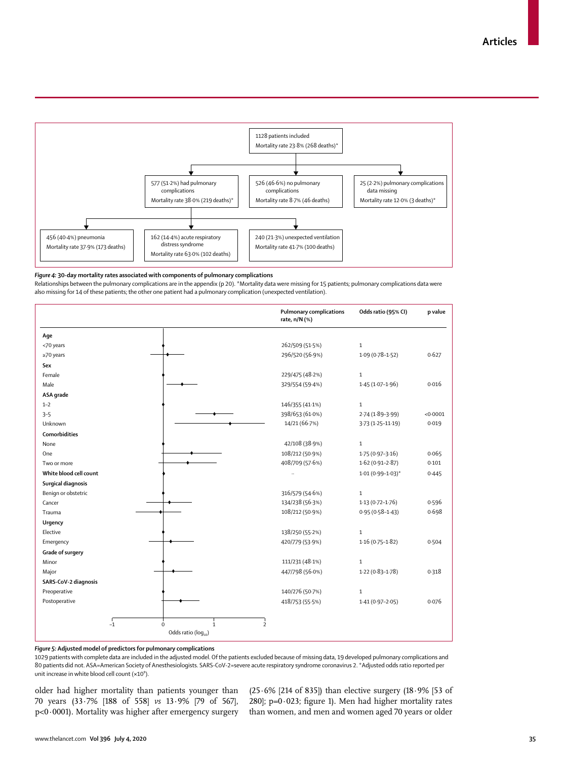

#### *Figure 4:* **30-day mortality rates associated with components of pulmonary complications**

Relationships between the pulmonary complications are in the appendix (p 20). \*Mortality data were missing for 15 patients; pulmonary complications data were also missing for 14 of these patients; the other one patient had a pulmonary complication (unexpected ventilation).

|                         |                                                | <b>Pulmonary complications</b><br>rate, n/N (%) | Odds ratio (95% CI)     | p value  |
|-------------------------|------------------------------------------------|-------------------------------------------------|-------------------------|----------|
| Age                     |                                                |                                                 |                         |          |
| <70 years               |                                                | 262/509 (51.5%)                                 | $\mathbf{1}$            |          |
| $\geq$ 70 years         |                                                | 296/520 (56.9%)                                 | $1.09(0.78 - 1.52)$     | 0.627    |
| Sex                     |                                                |                                                 |                         |          |
| Female                  |                                                | 229/475 (48-2%)                                 | $\mathbf{1}$            |          |
| Male                    |                                                | 329/554 (59-4%)                                 | $1.45(1.07-1.96)$       | 0.016    |
| ASA grade               |                                                |                                                 |                         |          |
| $1 - 2$                 |                                                | 146/355 (41.1%)                                 | $\mathbf{1}$            |          |
| $3 - 5$                 |                                                | 398/653 (61.0%)                                 | $2.74(1.89 - 3.99)$     | < 0.0001 |
| Unknown                 |                                                | 14/21 (66-7%)                                   | $3.73(1.25 - 11.19)$    | 0.019    |
| Comorbidities           |                                                |                                                 |                         |          |
| None                    |                                                | 42/108 (38.9%)                                  | $\mathbf{1}$            |          |
| One                     |                                                | 108/212 (50.9%)                                 | $1.75(0.97 - 3.16)$     | 0.065    |
| Two or more             |                                                | 408/709 (57.6%)                                 | $1.62(0.91 - 2.87)$     | 0.101    |
| White blood cell count  |                                                | $\ddot{\phantom{a}}$                            | $1.01(0.99 - 1.03)^{*}$ | 0.445    |
| Surgical diagnosis      |                                                |                                                 |                         |          |
| Benign or obstetric     |                                                | 316/579 (54.6%)                                 | $\,1\,$                 |          |
| Cancer                  |                                                | 134/238 (56.3%)                                 | $1.13(0.72 - 1.76)$     | 0.596    |
| Trauma                  |                                                | 108/212 (50.9%)                                 | $0.95(0.58 - 1.43)$     | 0.698    |
| Urgency                 |                                                |                                                 |                         |          |
| Elective                |                                                | 138/250 (55.2%)                                 | $\mathbf{1}$            |          |
| Emergency               |                                                | 420/779 (53.9%)                                 | $1.16(0.75 - 1.82)$     | 0.504    |
| <b>Grade of surgery</b> |                                                |                                                 |                         |          |
| Minor                   |                                                | 111/231 (48.1%)                                 | $\mathbf{1}$            |          |
| Major                   |                                                | 447/798 (56.0%)                                 | $1.22(0.83 - 1.78)$     | 0.318    |
| SARS-CoV-2 diagnosis    |                                                |                                                 |                         |          |
| Preoperative            |                                                | 140/276 (50.7%)                                 | $\mathbf{1}$            |          |
| Postoperative           |                                                | 418/753 (55.5%)                                 | $1.41(0.97 - 2.05)$     | 0.076    |
|                         | $\overline{-1}$<br>$\mathbf 0$<br>$\mathbf{1}$ | $\overline{2}$                                  |                         |          |
|                         | Odds ratio (log10)                             |                                                 |                         |          |

*Figure 5:* **Adjusted model of predictors for pulmonary complications**

1029 patients with complete data are included in the adjusted model. Of the patients excluded because of missing data, 19 developed pulmonary complications and 80 patients did not. ASA=American Society of Anesthesiologists. SARS-CoV-2=severe acute respiratory syndrome coronavirus 2. \*Adjusted odds ratio reported per unit increase in white blood cell count  $(x10^9)$ .

older had higher mortality than patients younger than 70 years (33·7% [188 of 558] *vs* 13·9% [79 of 567], p<0·0001). Mortality was higher after emergency surgery

(25·6% [214 of 835]) than elective surgery (18·9% [53 of 280];  $p=0.023$ ; figure 1). Men had higher mortality rates than women, and men and women aged 70 years or older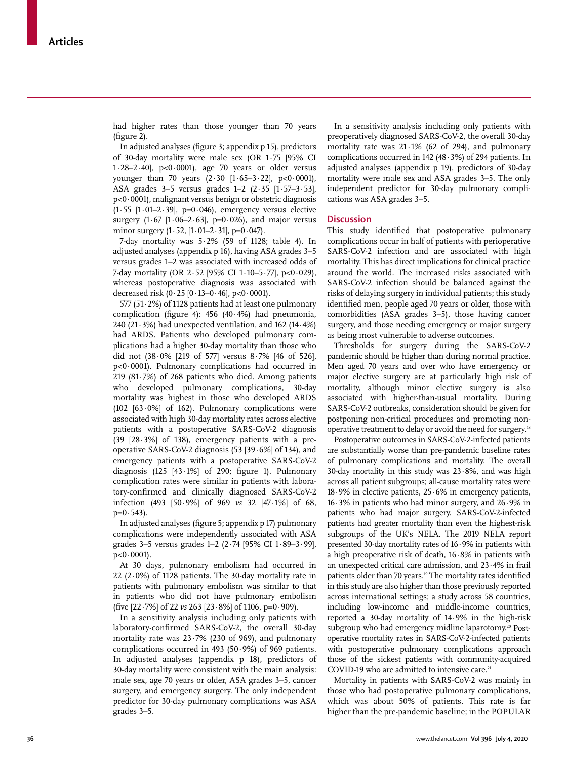had higher rates than those younger than 70 years (figure 2).

In adjusted analyses (figure 3; appendix p 15), predictors of 30-day mortality were male sex (OR 1·75 [95% CI 1·28–2·40], p<0·0001), age 70 years or older versus younger than 70 years  $(2.30 [1.65-3.22], p<0.0001)$ , ASA grades 3–5 versus grades 1–2 (2·35 [1·57–3·53], p<0·0001), malignant versus benign or obstetric diagnosis  $(1.55 \, [1.01 - 2.39], \, p=0.046)$ , emergency versus elective surgery  $(1.67 \, [1.06 - 2.63], \, p=0.026)$ , and major versus minor surgery  $(1.52, [1.01-2.31], p=0.047)$ .

7-day mortality was  $5.2\%$  (59 of 1128; table 4). In adjusted analyses (appendix p 16), having ASA grades 3–5 versus grades 1–2 was associated with increased odds of 7-day mortality (OR 2·52 [95% CI 1·10–5·77], p<0·029), whereas postoperative diagnosis was associated with decreased risk  $(0.25 \, [0.13 - 0.46], \, p < 0.0001)$ .

577 (51·2%) of 1128 patients had at least one pulmonary complication (figure 4): 456 (40·4%) had pneumonia, 240 (21·3%) had unexpected ventilation, and 162 (14·4%) had ARDS. Patients who developed pulmonary complications had a higher 30-day mortality than those who did not (38·0% [219 of 577] versus 8·7% [46 of 526], p<0·0001). Pulmonary complications had occurred in 219 (81·7%) of 268 patients who died. Among patients who developed pulmonary complications, 30-day mortality was highest in those who developed ARDS (102  $[63.0\%]$  of 162). Pulmonary complications were associated with high 30-day mortality rates across elective patients with a postoperative SARS-CoV-2 diagnosis  $(39 \t[28.3\%]$  of 138), emergency patients with a preoperative SARS-CoV-2 diagnosis (53 [39·6%] of 134), and emergency patients with a postoperative SARS-CoV-2 diagnosis  $(125 \t[43.1\%]$  of 290; figure 1). Pulmonary complication rates were similar in patients with laboratory-confirmed and clinically diagnosed SARS-CoV-2 infection (493 [50·9%] of 969 *vs* 32 [47·1%] of 68,  $p=0.543$ ).

In adjusted analyses (figure 5; appendix p 17) pulmonary complications were independently associated with ASA grades 3–5 versus grades 1–2 (2·74 [95% CI 1·89–3·99],  $p < 0.0001$ ).

At 30 days, pulmonary embolism had occurred in 22 (2 $\cdot$ 0%) of 1128 patients. The 30-day mortality rate in patients with pulmonary embolism was similar to that in patients who did not have pulmonary embolism (five [22·7%] of 22 *vs* 263 [23·8%] of 1106, p=0·909).

In a sensitivity analysis including only patients with laboratory-confirmed SARS-CoV-2, the overall 30-day mortality rate was 23·7% (230 of 969), and pulmonary complications occurred in 493 (50·9%) of 969 patients. In adjusted analyses (appendix p 18), predictors of 30-day mortality were consistent with the main analysis: male sex, age 70 years or older, ASA grades 3–5, cancer surgery, and emergency surgery. The only independent predictor for 30-day pulmonary complications was ASA grades 3–5.

In a sensitivity analysis including only patients with preoperatively diagnosed SARS-CoV-2, the overall 30-day mortality rate was  $21.1\%$  (62 of 294), and pulmonary complications occurred in 142 (48·3%) of 294 patients. In adjusted analyses (appendix p 19), predictors of 30-day mortality were male sex and ASA grades 3–5. The only independent predictor for 30-day pulmonary complications was ASA grades 3–5.

### **Discussion**

This study identified that postoperative pulmonary complications occur in half of patients with perioperative SARS-CoV-2 infection and are associated with high mortality. This has direct implications for clinical practice around the world. The increased risks associated with SARS-CoV-2 infection should be balanced against the risks of delaying surgery in individual patients; this study identified men, people aged 70 years or older, those with comorbidities (ASA grades 3–5), those having cancer surgery, and those needing emergency or major surgery as being most vulnerable to adverse outcomes.

Thresholds for surgery during the SARS-CoV-2 pandemic should be higher than during normal practice. Men aged 70 years and over who have emergency or major elective surgery are at particularly high risk of mortality, although minor elective surgery is also associated with higher-than-usual mortality. During SARS-CoV-2 outbreaks, consideration should be given for postponing non-critical procedures and promoting nonoperative treatment to delay or avoid the need for surgery.18

Postoperative outcomes in SARS-CoV-2-infected patients are substantially worse than pre-pandemic baseline rates of pulmonary complications and mortality. The overall 30-day mortality in this study was  $23.8\%$ , and was high across all patient subgroups; all-cause mortality rates were 18·9% in elective patients, 25·6% in emergency patients, 16·3% in patients who had minor surgery, and 26·9% in patients who had major surgery. SARS-CoV-2-infected patients had greater mortality than even the highest-risk subgroups of the UK's NELA. The 2019 NELA report presented 30-day mortality rates of 16·9% in patients with a high preoperative risk of death, 16·8% in patients with an unexpected critical care admission, and 23·4% in frail patients older than 70 years.<sup>19</sup> The mortality rates identified in this study are also higher than those previously reported across international settings; a study across 58 countries, including low-income and middle-income countries, reported a 30-day mortality of 14·9% in the high-risk subgroup who had emergency midline laparotomy.<sup>20</sup> Postoperative mortality rates in SARS-CoV-2-infected patients with postoperative pulmonary complications approach those of the sickest patients with community-acquired COVID-19 who are admitted to intensive care.<sup>21</sup>

Mortality in patients with SARS-CoV-2 was mainly in those who had postoperative pulmonary complications, which was about 50% of patients. This rate is far higher than the pre-pandemic baseline; in the POPULAR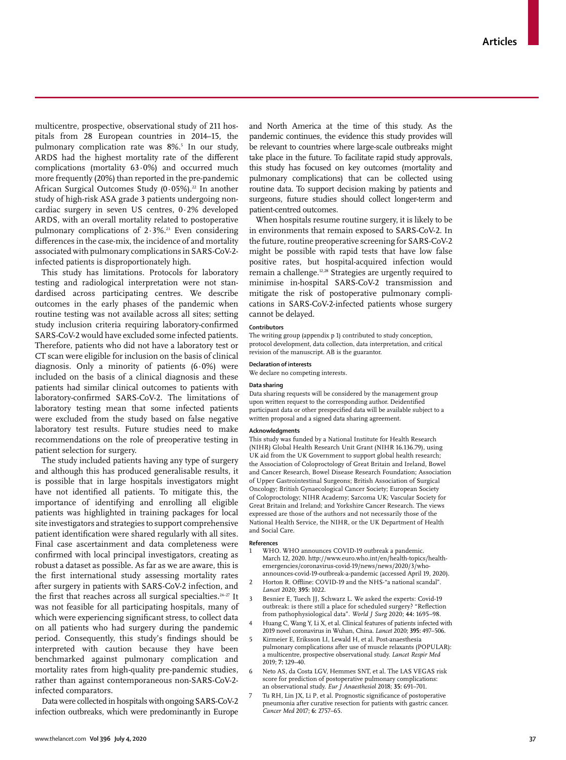multicentre, prospective, observational study of 211 hospitals from 28 European countries in 2014–15, the pulmonary complication rate was 8%.5 In our study, ARDS had the highest mortality rate of the different complications (mortality 63·0%) and occurred much more frequently (20%) than reported in the pre-pandemic African Surgical Outcomes Study  $(0.05\%)$ .<sup>22</sup> In another study of high-risk ASA grade 3 patients undergoing noncardiac surgery in seven US centres, 0·2% developed ARDS, with an overall mortality related to postoperative pulmonary complications of  $2.3\%$ .<sup>23</sup> Even considering differences in the case-mix, the incidence of and mortality associated with pulmonary complications in SARS-CoV-2 infected patients is disproportionately high.

This study has limitations. Protocols for laboratory testing and radiological interpretation were not standardised across participating centres. We describe outcomes in the early phases of the pandemic when routine testing was not available across all sites; setting study inclusion criteria requiring laboratory-confirmed SARS-CoV-2 would have excluded some infected patients. Therefore, patients who did not have a laboratory test or CT scan were eligible for inclusion on the basis of clinical diagnosis. Only a minority of patients  $(6.0%)$  were included on the basis of a clinical diagnosis and these patients had similar clinical outcomes to patients with laboratory-confirmed SARS-CoV-2. The limitations of laboratory testing mean that some infected patients were excluded from the study based on false negative laboratory test results. Future studies need to make recommendations on the role of preoperative testing in patient selection for surgery.

The study included patients having any type of surgery and although this has produced generalisable results, it is possible that in large hospitals investigators might have not identified all patients. To mitigate this, the importance of identifying and enrolling all eligible patients was highlighted in training packages for local site investigators and strategies to support comprehensive patient identification were shared regularly with all sites. Final case ascertainment and data completeness were confirmed with local principal investigators, creating as robust a dataset as possible. As far as we are aware, this is the first international study assessing mortality rates after surgery in patients with SARS-CoV-2 infection, and the first that reaches across all surgical specialties.<sup>24-27</sup> It was not feasible for all participating hospitals, many of which were experiencing significant stress, to collect data on all patients who had surgery during the pandemic period. Consequently, this study's findings should be interpreted with caution because they have been benchmarked against pulmonary complication and mortality rates from high-quality pre-pandemic studies, rather than against contemporaneous non-SARS-CoV-2 infected comparators.

Data were collected in hospitals with ongoing SARS-CoV-2 infection outbreaks, which were predominantly in Europe

and North America at the time of this study. As the pandemic continues, the evidence this study provides will be relevant to countries where large-scale outbreaks might take place in the future. To facilitate rapid study approvals, this study has focused on key outcomes (mortality and pulmonary complications) that can be collected using routine data. To support decision making by patients and surgeons, future studies should collect longer-term and patient-centred outcomes.

When hospitals resume routine surgery, it is likely to be in environments that remain exposed to SARS-CoV-2. In the future, routine preoperative screening for SARS-CoV-2 might be possible with rapid tests that have low false positive rates, but hospital-acquired infection would remain a challenge.12,28 Strategies are urgently required to minimise in-hospital SARS-CoV-2 transmission and mitigate the risk of postoperative pulmonary complications in SARS-CoV-2-infected patients whose surgery cannot be delayed.

#### **Contributors**

The writing group (appendix p 1) contributed to study conception, protocol development, data collection, data interpretation, and critical revision of the manuscript. AB is the guarantor.

#### **Declaration of interests**

We declare no competing interests.

#### **Data sharing**

Data sharing requests will be considered by the management group upon written request to the corresponding author. Deidentified participant data or other prespecified data will be available subject to a written proposal and a signed data sharing agreement.

### **Acknowledgments**

This study was funded by a National Institute for Health Research (NIHR) Global Health Research Unit Grant (NIHR 16.136.79), using UK aid from the UK Government to support global health research; the Association of Coloproctology of Great Britain and Ireland, Bowel and Cancer Research, Bowel Disease Research Foundation; Association of Upper Gastrointestinal Surgeons; British Association of Surgical Oncology; British Gynaecological Cancer Society; European Society of Coloproctology; NIHR Academy; Sarcoma UK; Vascular Society for Great Britain and Ireland; and Yorkshire Cancer Research. The views expressed are those of the authors and not necessarily those of the National Health Service, the NIHR, or the UK Department of Health and Social Care.

#### **References**

- who. WHO announces COVID-19 outbreak a pandemic. March 12, 2020. http://www.euro.who.int/en/health-topics/healthemergencies/coronavirus-covid-19/news/news/2020/3/whoannounces-covid-19-outbreak-a-pandemic (accessed April 19, 2020).
- 2 Horton R. Offline: COVID-19 and the NHS-"a national scandal". *Lancet* 2020; **395:** 1022.
- 3 Besnier E, Tuech JJ, Schwarz L. We asked the experts: Covid-19 outbreak: is there still a place for scheduled surgery? "Reflection from pathophysiological data". *World J Surg* 2020; **44:** 1695–98.
- 4 Huang C, Wang Y, Li X, et al. Clinical features of patients infected with 2019 novel coronavirus in Wuhan, China. *Lancet* 2020; **395:** 497–506.
- 5 Kirmeier E, Eriksson LI, Lewald H, et al. Post-anaesthesia pulmonary complications after use of muscle relaxants (POPULAR): a multicentre, prospective observational study. *Lancet Respir Med* 2019; **7:** 129–40.
- 6 Neto AS, da Costa LGV, Hemmes SNT, et al. The LAS VEGAS risk score for prediction of postoperative pulmonary complications: an observational study. *Eur J Anaesthesiol* 2018; **35:** 691–701.
- Tu RH, Lin JX, Li P, et al. Prognostic significance of postoperative pneumonia after curative resection for patients with gastric cancer. *Cancer Med* 2017; **6:** 2757–65.